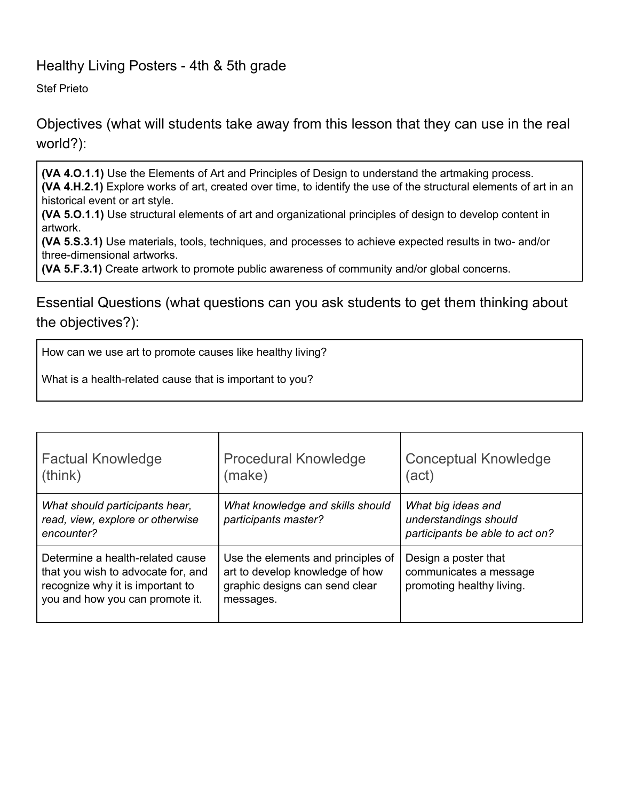## Healthy Living Posters - 4th & 5th grade

Stef Prieto

Objectives (what will students take away from this lesson that they can use in the real world?):

**(VA 4.O.1.1)** Use the Elements of Art and Principles of Design to understand the artmaking process. **(VA 4.H.2.1)** Explore works of art, created over time, to identify the use of the structural elements of art in an historical event or art style.

**(VA 5.O.1.1)** Use structural elements of art and organizational principles of design to develop content in artwork.

**(VA 5.S.3.1)** Use materials, tools, techniques, and processes to achieve expected results in two- and/or three-dimensional artworks.

**(VA 5.F.3.1)** Create artwork to promote public awareness of community and/or global concerns.

Essential Questions (what questions can you ask students to get them thinking about the objectives?):

How can we use art to promote causes like healthy living?

What is a health-related cause that is important to you?

| <b>Factual Knowledge</b><br>(think)                                                                                                           | <b>Procedural Knowledge</b><br>(make)                                                                                | <b>Conceptual Knowledge</b><br>(act)                                           |
|-----------------------------------------------------------------------------------------------------------------------------------------------|----------------------------------------------------------------------------------------------------------------------|--------------------------------------------------------------------------------|
| What should participants hear,<br>read, view, explore or otherwise<br>encounter?                                                              | What knowledge and skills should<br>participants master?                                                             | What big ideas and<br>understandings should<br>participants be able to act on? |
| Determine a health-related cause<br>that you wish to advocate for, and<br>recognize why it is important to<br>you and how you can promote it. | Use the elements and principles of<br>art to develop knowledge of how<br>graphic designs can send clear<br>messages. | Design a poster that<br>communicates a message<br>promoting healthy living.    |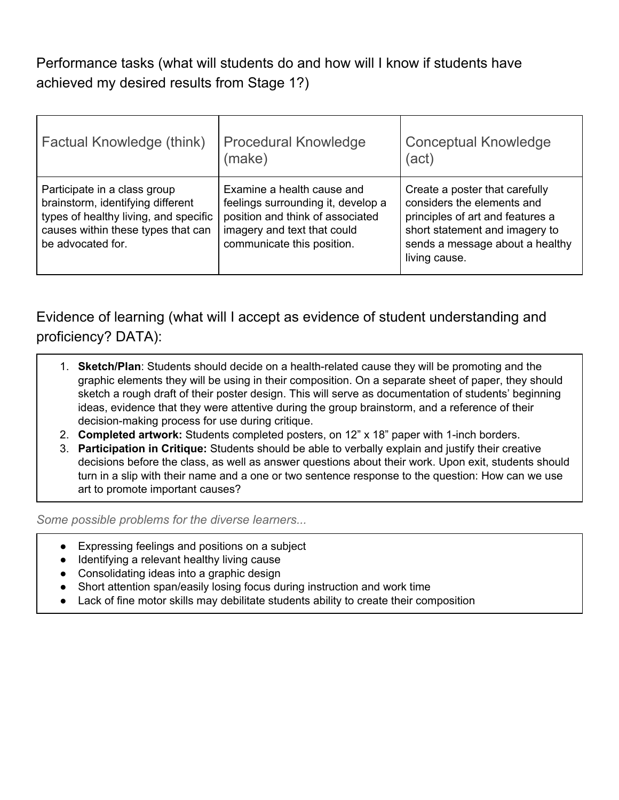# Performance tasks (what will students do and how will I know if students have achieved my desired results from Stage 1?)

| Factual Knowledge (think)                                                                                                                                             | <b>Procedural Knowledge</b><br>(make)                                                                                                                             | <b>Conceptual Knowledge</b><br>(act)                                                                                                                                                   |
|-----------------------------------------------------------------------------------------------------------------------------------------------------------------------|-------------------------------------------------------------------------------------------------------------------------------------------------------------------|----------------------------------------------------------------------------------------------------------------------------------------------------------------------------------------|
| Participate in a class group<br>brainstorm, identifying different<br>types of healthy living, and specific<br>causes within these types that can<br>be advocated for. | Examine a health cause and<br>feelings surrounding it, develop a<br>position and think of associated<br>imagery and text that could<br>communicate this position. | Create a poster that carefully<br>considers the elements and<br>principles of art and features a<br>short statement and imagery to<br>sends a message about a healthy<br>living cause. |

Evidence of learning (what will I accept as evidence of student understanding and proficiency? DATA):

- 1. **Sketch/Plan**: Students should decide on a health-related cause they will be promoting and the graphic elements they will be using in their composition. On a separate sheet of paper, they should sketch a rough draft of their poster design. This will serve as documentation of students' beginning ideas, evidence that they were attentive during the group brainstorm, and a reference of their decision-making process for use during critique.
- 2. **Completed artwork:** Students completed posters, on 12" x 18" paper with 1-inch borders.
- 3. **Participation in Critique:** Students should be able to verbally explain and justify their creative decisions before the class, as well as answer questions about their work. Upon exit, students should turn in a slip with their name and a one or two sentence response to the question: How can we use art to promote important causes?

*Some possible problems for the diverse learners...*

- Expressing feelings and positions on a subject
- Identifying a relevant healthy living cause
- Consolidating ideas into a graphic design
- Short attention span/easily losing focus during instruction and work time
- Lack of fine motor skills may debilitate students ability to create their composition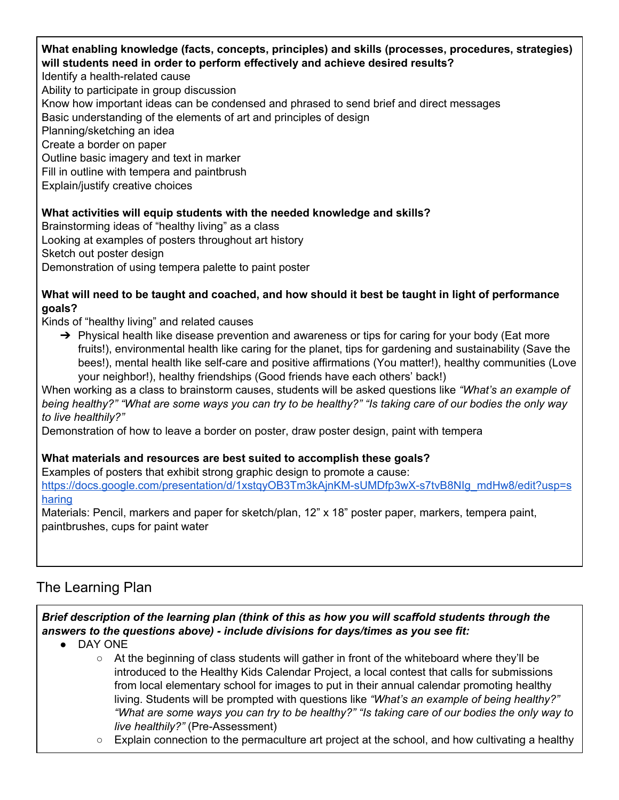#### **What enabling knowledge (facts, concepts, principles) and skills (processes, procedures, strategies) will students need in order to perform effectively and achieve desired results?**

Identify a health-related cause

Ability to participate in group discussion

Know how important ideas can be condensed and phrased to send brief and direct messages

Basic understanding of the elements of art and principles of design

Planning/sketching an idea

Create a border on paper

Outline basic imagery and text in marker

Fill in outline with tempera and paintbrush

Explain/justify creative choices

## **What activities will equip students with the needed knowledge and skills?**

Brainstorming ideas of "healthy living" as a class Looking at examples of posters throughout art history Sketch out poster design Demonstration of using tempera palette to paint poster

### What will need to be taught and coached, and how should it best be taught in light of performance **goals?**

Kinds of "healthy living" and related causes

 $\rightarrow$  Physical health like disease prevention and awareness or tips for caring for your body (Eat more fruits!), environmental health like caring for the planet, tips for gardening and sustainability (Save the bees!), mental health like self-care and positive affirmations (You matter!), healthy communities (Love your neighbor!), healthy friendships (Good friends have each others' back!)

When working as a class to brainstorm causes, students will be asked questions like *"What's an example of* being healthy?" "What are some ways you can try to be healthy?" "Is taking care of our bodies the only way *to live healthily?"*

Demonstration of how to leave a border on poster, draw poster design, paint with tempera

### **What materials and resources are best suited to accomplish these goals?**

Examples of posters that exhibit strong graphic design to promote a cause:

[https://docs.google.com/presentation/d/1xstqyOB3Tm3kAjnKM-sUMDfp3wX-s7tvB8NIg\\_mdHw8/edit?usp=s](https://docs.google.com/presentation/d/1xstqyOB3Tm3kAjnKM-sUMDfp3wX-s7tvB8NIg_mdHw8/edit?usp=sharing) [haring](https://docs.google.com/presentation/d/1xstqyOB3Tm3kAjnKM-sUMDfp3wX-s7tvB8NIg_mdHw8/edit?usp=sharing)

Materials: Pencil, markers and paper for sketch/plan, 12" x 18" poster paper, markers, tempera paint, paintbrushes, cups for paint water

## The Learning Plan

*Brief description of the learning plan (think of this as how you will scaffold students through the answers to the questions above) - include divisions for days/times as you see fit:*

- DAY ONE
	- $\circ$  At the beginning of class students will gather in front of the whiteboard where they'll be introduced to the Healthy Kids Calendar Project, a local contest that calls for submissions from local elementary school for images to put in their annual calendar promoting healthy living. Students will be prompted with questions like *"What's an example of being healthy?"* "What are some ways you can try to be healthy?" "Is taking care of our bodies the only way to *live healthily?"* (Pre-Assessment)
	- $\circ$  Explain connection to the permaculture art project at the school, and how cultivating a healthy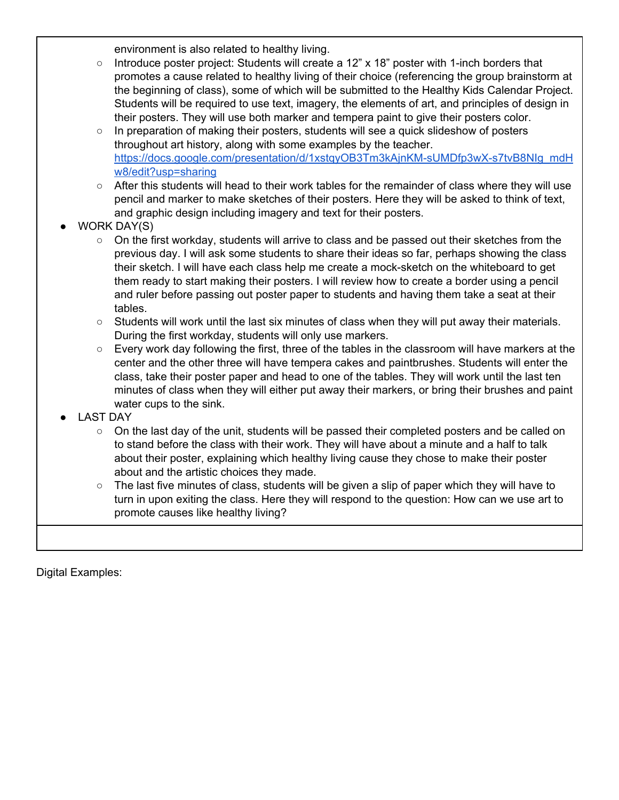environment is also related to healthy living.

- Introduce poster project: Students will create a 12" x 18" poster with 1-inch borders that promotes a cause related to healthy living of their choice (referencing the group brainstorm at the beginning of class), some of which will be submitted to the Healthy Kids Calendar Project. Students will be required to use text, imagery, the elements of art, and principles of design in their posters. They will use both marker and tempera paint to give their posters color.
- $\circ$  In preparation of making their posters, students will see a quick slideshow of posters throughout art history, along with some examples by the teacher. [https://docs.google.com/presentation/d/1xstqyOB3Tm3kAjnKM-sUMDfp3wX-s7tvB8NIg\\_mdH](https://docs.google.com/presentation/d/1xstqyOB3Tm3kAjnKM-sUMDfp3wX-s7tvB8NIg_mdHw8/edit?usp=sharing) [w8/edit?usp=sharing](https://docs.google.com/presentation/d/1xstqyOB3Tm3kAjnKM-sUMDfp3wX-s7tvB8NIg_mdHw8/edit?usp=sharing)
- After this students will head to their work tables for the remainder of class where they will use pencil and marker to make sketches of their posters. Here they will be asked to think of text, and graphic design including imagery and text for their posters.
- WORK DAY(S)
	- On the first workday, students will arrive to class and be passed out their sketches from the previous day. I will ask some students to share their ideas so far, perhaps showing the class their sketch. I will have each class help me create a mock-sketch on the whiteboard to get them ready to start making their posters. I will review how to create a border using a pencil and ruler before passing out poster paper to students and having them take a seat at their tables.
	- $\circ$  Students will work until the last six minutes of class when they will put away their materials. During the first workday, students will only use markers.
	- Every work day following the first, three of the tables in the classroom will have markers at the center and the other three will have tempera cakes and paintbrushes. Students will enter the class, take their poster paper and head to one of the tables. They will work until the last ten minutes of class when they will either put away their markers, or bring their brushes and paint water cups to the sink.
- **LAST DAY** 
	- On the last day of the unit, students will be passed their completed posters and be called on to stand before the class with their work. They will have about a minute and a half to talk about their poster, explaining which healthy living cause they chose to make their poster about and the artistic choices they made.
	- $\circ$  The last five minutes of class, students will be given a slip of paper which they will have to turn in upon exiting the class. Here they will respond to the question: How can we use art to promote causes like healthy living?

Digital Examples: